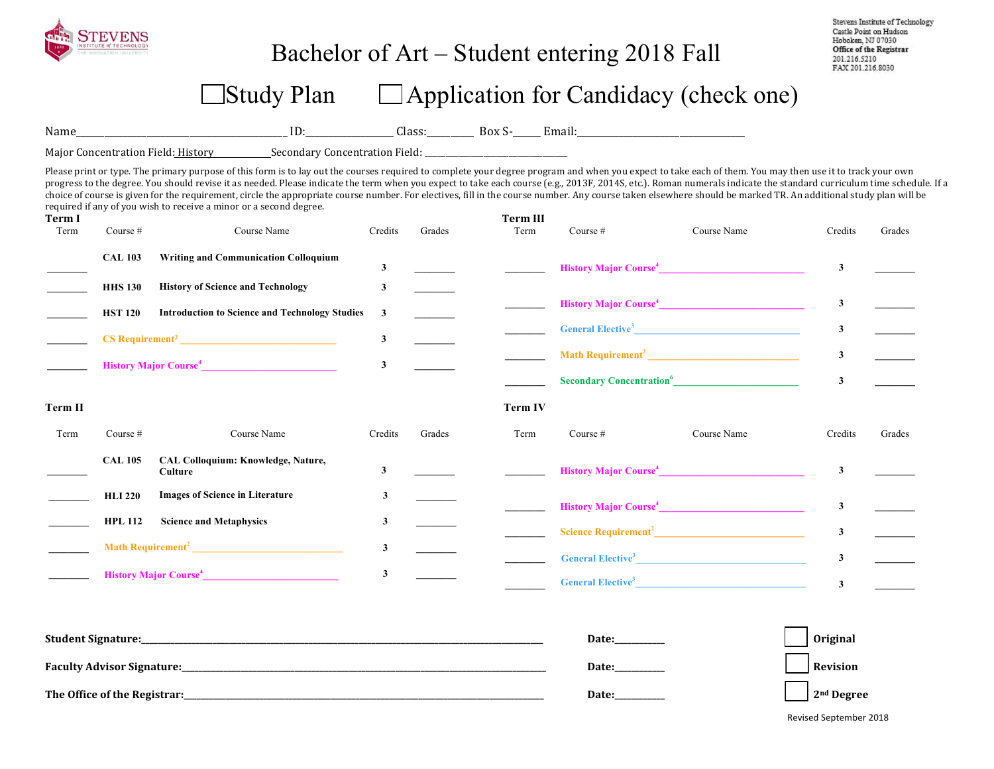

## Bachelor of Art – Student entering 2018 Fall

Stevens Institute of Technology Castle Point on Hudson Hoboken, NJ 07030 Office of the Registrar 201.216.5210 FAX 201.216.8030

# $\Box$ Study Plan  $\Box$  Application for Candidacy (check one)

Name\_\_\_\_\_\_\_\_\_\_\_\_\_\_\_\_\_\_\_\_\_\_\_\_\_\_\_\_\_\_\_\_\_\_\_\_\_\_\_\_\_\_\_\_\_ ID:\_\_\_\_\_\_\_\_\_\_\_\_\_\_\_\_\_\_\_ Class:\_\_\_\_\_\_\_\_\_\_ Box S-\_\_\_\_\_\_ Email:\_\_\_\_\_\_\_\_\_\_\_\_\_\_\_\_\_\_\_\_\_\_\_\_\_\_\_\_\_\_\_\_\_\_\_\_ 

Major Concentration Field: History Secondary Concentration Field:

Please print or type. The primary purpose of this form is to lay out the courses required to complete your degree program and when you expect to take each of them. You may then use it to track your own progress to the degree. You should revise it as needed. Please indicate the term when you expect to take each course (e.g., 2013F, 2014S, etc.). Roman numerals indicate the standard curriculum time schedule. If a choice of course is given for the requirement, circle the appropriate course number. For electives, fill in the course number. Any course taken elsewhere should be marked TR. An additional study plan will be required if any of you wish to receive a minor or a second degree.

| Term I<br>Term | Course #       | Course Name                                                                                                                                                                                                                                    | Credits | Grades | <b>Term III</b><br>Term | Course $#$ | Course Name                                                                                                                                                                                                                                 | Credits      | Grades |
|----------------|----------------|------------------------------------------------------------------------------------------------------------------------------------------------------------------------------------------------------------------------------------------------|---------|--------|-------------------------|------------|---------------------------------------------------------------------------------------------------------------------------------------------------------------------------------------------------------------------------------------------|--------------|--------|
|                | <b>CAL 103</b> | <b>Writing and Communication Colloquium</b>                                                                                                                                                                                                    | 3       |        |                         |            |                                                                                                                                                                                                                                             | $\mathbf{3}$ |        |
|                | <b>HHS 130</b> | <b>History of Science and Technology</b>                                                                                                                                                                                                       | 3       |        |                         |            |                                                                                                                                                                                                                                             |              |        |
|                | <b>HST 120</b> | <b>Introduction to Science and Technology Studies</b>                                                                                                                                                                                          | 3       |        |                         |            | History Major Course <sup>4</sup>                                                                                                                                                                                                           | $\mathbf{3}$ |        |
|                |                |                                                                                                                                                                                                                                                | 3       |        |                         |            | General Elective <sup>3</sup>                                                                                                                                                                                                               | 3            |        |
|                |                | History Major Course <sup>4</sup>                                                                                                                                                                                                              | 3       |        |                         |            |                                                                                                                                                                                                                                             | $\mathbf{3}$ |        |
|                |                |                                                                                                                                                                                                                                                |         |        |                         |            | Secondary Concentration <sup>6</sup>                                                                                                                                                                                                        | $\mathbf{3}$ |        |
| Term II        |                |                                                                                                                                                                                                                                                |         |        | <b>Term IV</b>          |            |                                                                                                                                                                                                                                             |              |        |
| Term           | Course #       | Course Name                                                                                                                                                                                                                                    | Credits | Grades | Term                    | Course $#$ | Course Name                                                                                                                                                                                                                                 | Credits      | Grades |
|                | <b>CAL 105</b> | CAL Colloquium: Knowledge, Nature,<br>Culture                                                                                                                                                                                                  | 3       |        |                         |            | <b>History Major Course<sup>4</sup></b>                                                                                                                                                                                                     | $\mathbf{3}$ |        |
|                | <b>HLI 220</b> | <b>Images of Science in Literature</b>                                                                                                                                                                                                         | 3       |        |                         |            | <b>History Major Course</b> <sup>4</sup>                                                                                                                                                                                                    | $\mathbf{3}$ |        |
|                | <b>HPL 112</b> | <b>Science and Metaphysics</b>                                                                                                                                                                                                                 | 3       |        |                         |            |                                                                                                                                                                                                                                             | $\mathbf{3}$ |        |
|                |                | Math Requirement <sup>2</sup> <u>and the contract of the contract of the contract of the contract of the contract of the contract of the contract of the contract of the contract of the contract of the contract of the contract of the c</u> | 3       |        |                         |            | <b>General Elective<sup>3</sup> Contract Contract Contract Contract Contract Contract Contract Contract Contract Contract Contract Contract Contract Contract Contract Contract Contract Contract Contract Contract Contract Contract C</b> | $\mathbf{3}$ |        |
|                |                | History Major Course <sup>4</sup>                                                                                                                                                                                                              | 3       |        |                         |            | General Elective <sup>3</sup>                                                                                                                                                                                                               | $\mathbf{3}$ |        |

| <b>Student Signature:</b>         | <b>Date:</b> | Original     |
|-----------------------------------|--------------|--------------|
| <b>Faculty Advisor Signature:</b> | <b>Date:</b> |              |
| The Office of the Registrar:      | Date:        | $2nd$ Degree |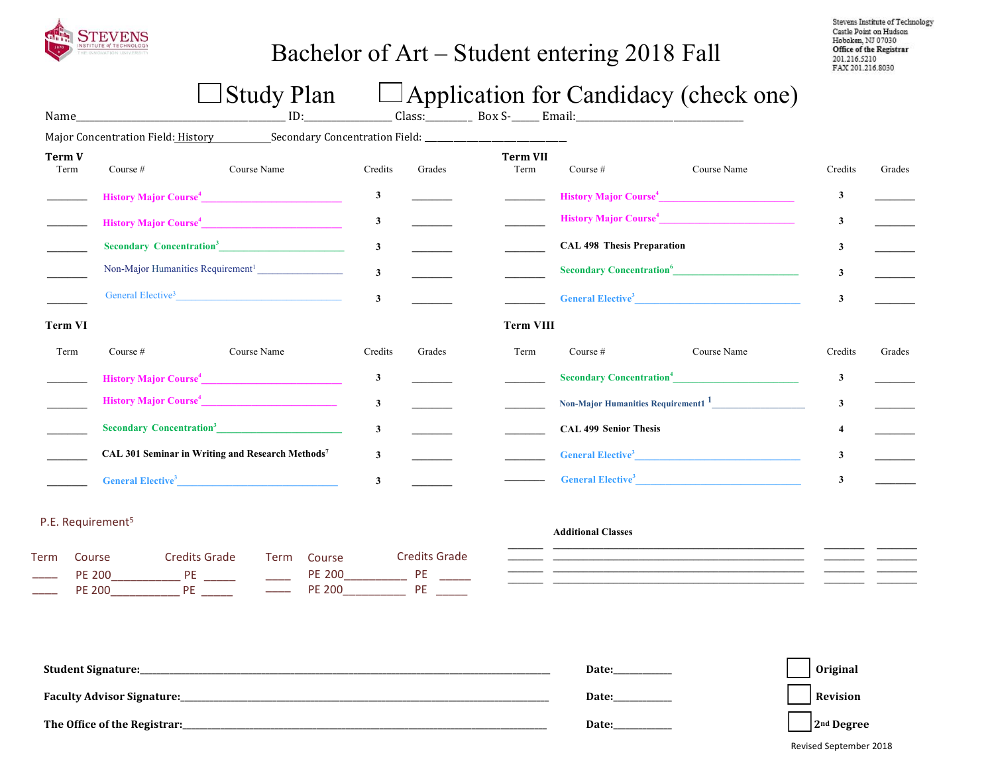

# Bachelor of Art – Student entering 2018 Fall

Stevens Institute of Technology Castle Point on Hudson Hoboken, NJ 07030 Office of the Registrar 201.216.5210 FAX 201.216.8030

# $\Box$  Study Plan  $\Box$  Application for Candidacy (check one)

|                |                                      | Major Concentration Field: History Secondary Concentration Field: __________________________________ |                         |        |                         |                                            |                                                                                                                                                                                                                                             |                         |        |
|----------------|--------------------------------------|------------------------------------------------------------------------------------------------------|-------------------------|--------|-------------------------|--------------------------------------------|---------------------------------------------------------------------------------------------------------------------------------------------------------------------------------------------------------------------------------------------|-------------------------|--------|
| Term V<br>Term | Course #                             | Course Name                                                                                          | Credits                 | Grades | <b>Term VII</b><br>Term | Course $#$                                 | Course Name                                                                                                                                                                                                                                 | Credits                 | Grades |
|                |                                      | History Major Course <sup>4</sup>                                                                    | $\mathbf{3}$            |        |                         |                                            | History Major Course <sup>4</sup>                                                                                                                                                                                                           | 3                       |        |
|                |                                      | History Major Course <sup>4</sup>                                                                    | $\mathbf{3}$            |        |                         |                                            | History Major Course <sup>4</sup>                                                                                                                                                                                                           | $\mathbf{3}$            |        |
|                |                                      | Secondary Concentration <sup>3</sup>                                                                 | $\mathbf{3}$            |        |                         | <b>CAL 498 Thesis Preparation</b>          |                                                                                                                                                                                                                                             | 3                       |        |
|                |                                      | Non-Major Humanities Requirement <sup>1</sup>                                                        | $\mathbf{3}$            |        |                         |                                            |                                                                                                                                                                                                                                             | 3                       |        |
|                |                                      | General Elective <sup>3</sup>                                                                        | $\mathbf{3}$            |        |                         |                                            | <b>General Elective<sup>3</sup> Contract Contract Contract Contract Contract Contract Contract Contract Contract Contract Contract Contract Contract Contract Contract Contract Contract Contract Contract Contract Contract Contract C</b> | $\mathbf{3}$            |        |
| Term VI        |                                      |                                                                                                      |                         |        | <b>Term VIII</b>        |                                            |                                                                                                                                                                                                                                             |                         |        |
| Term           | Course $#$                           | Course Name                                                                                          | Credits                 | Grades | Term                    | Course $#$                                 | Course Name                                                                                                                                                                                                                                 | Credits                 | Grades |
|                |                                      | History Major Course <sup>4</sup>                                                                    | $\mathbf{3}$            |        |                         | <b>Secondary Concentration<sup>4</sup></b> |                                                                                                                                                                                                                                             | $\mathbf{3}$            |        |
|                |                                      | History Major Course <sup>4</sup>                                                                    | $\overline{\mathbf{3}}$ |        |                         |                                            | Non-Major Humanities Requirement1 <sup>1</sup>                                                                                                                                                                                              | $\overline{\mathbf{3}}$ |        |
|                |                                      | Secondary Concentration <sup>3</sup>                                                                 | $\mathbf{3}$            |        |                         | <b>CAL 499 Senior Thesis</b>               |                                                                                                                                                                                                                                             |                         |        |
|                |                                      | CAL 301 Seminar in Writing and Research Methods7                                                     | 3                       |        |                         |                                            | General Elective <sup>3</sup>                                                                                                                                                                                                               | $\mathbf{3}$            |        |
|                | <b>General Elective</b> <sup>3</sup> |                                                                                                      | 3                       |        |                         |                                            | General Elective <sup>3</sup>                                                                                                                                                                                                               | 3                       |        |

### P.E. Requirement<sup>5</sup>

| Term | Course | <b>Credits Grade</b> | Term Course | Credits Grade |
|------|--------|----------------------|-------------|---------------|
|      | PF 200 |                      | PF 200      | РF            |
|      | PF 200 | РF                   | PF 200      | DF            |

#### **Additional Classes**

| <b>Student Signature:</b>         | Date: | Original               |
|-----------------------------------|-------|------------------------|
| <b>Faculty Advisor Signature:</b> | Date: | Revision               |
| The Office of the Registrar:      | Date: | 2 <sup>nd</sup> Degree |

Revised September 2018